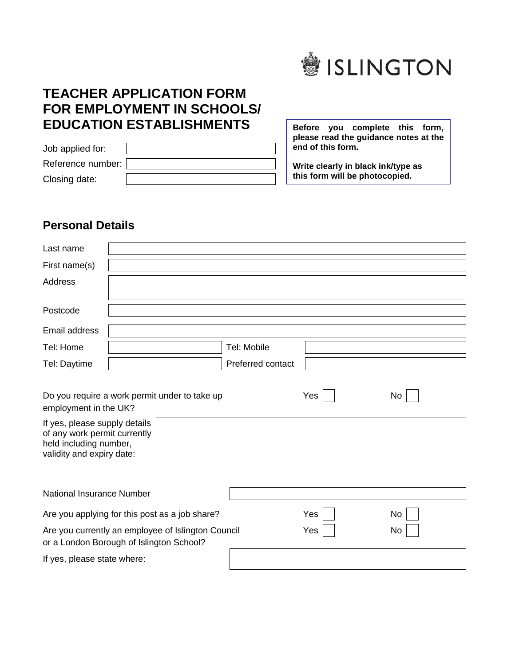

## **TEACHER APPLICATION FORM FOR EMPLOYMENT IN SCHOOLS/ EDUCATION ESTABLISHMENTS**

| Job applied for:  |  |
|-------------------|--|
| Reference number: |  |
| Closing date:     |  |

**Before you complete this form, please read the guidance notes at the end of this form.** 

**Write clearly in black ink/type as this form will be photocopied.**

## **Personal Details**

| Last name                                                                                                                                     |                                                                                                |                   |     |    |
|-----------------------------------------------------------------------------------------------------------------------------------------------|------------------------------------------------------------------------------------------------|-------------------|-----|----|
| First name(s)                                                                                                                                 |                                                                                                |                   |     |    |
| <b>Address</b>                                                                                                                                |                                                                                                |                   |     |    |
| Postcode                                                                                                                                      |                                                                                                |                   |     |    |
| Email address                                                                                                                                 |                                                                                                |                   |     |    |
| Tel: Home                                                                                                                                     |                                                                                                | Tel: Mobile       |     |    |
| Tel: Daytime                                                                                                                                  |                                                                                                | Preferred contact |     |    |
| employment in the UK?<br>If yes, please supply details<br>of any work permit currently<br>held including number,<br>validity and expiry date: | Do you require a work permit under to take up                                                  |                   | Yes | No |
| National Insurance Number                                                                                                                     |                                                                                                |                   |     |    |
|                                                                                                                                               | Are you applying for this post as a job share?                                                 |                   | Yes | No |
|                                                                                                                                               | Are you currently an employee of Islington Council<br>or a London Borough of Islington School? |                   | Yes | No |
| If yes, please state where:                                                                                                                   |                                                                                                |                   |     |    |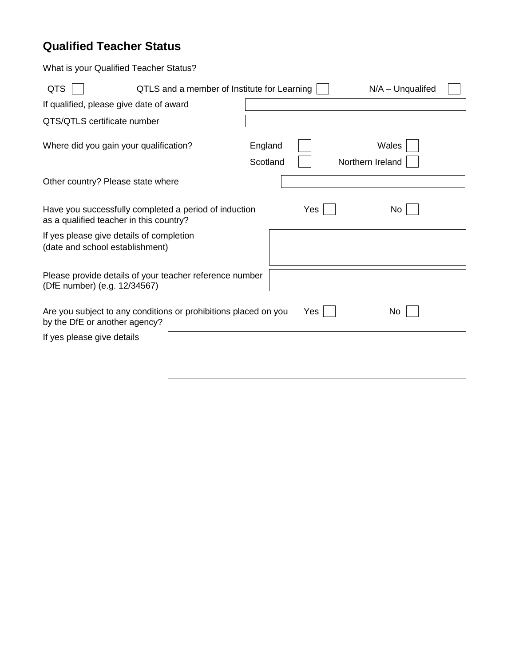## **Qualified Teacher Status**

What is your Qualified Teacher Status?

| <b>QTS</b>                                                                                                     | QTLS and a member of Institute for Learning |                     | $N/A - Unqualified$       |  |  |
|----------------------------------------------------------------------------------------------------------------|---------------------------------------------|---------------------|---------------------------|--|--|
| If qualified, please give date of award                                                                        |                                             |                     |                           |  |  |
| QTS/QTLS certificate number                                                                                    |                                             |                     |                           |  |  |
| Where did you gain your qualification?                                                                         |                                             | England<br>Scotland | Wales<br>Northern Ireland |  |  |
| Other country? Please state where                                                                              |                                             |                     |                           |  |  |
| Have you successfully completed a period of induction<br>Yes<br>No.<br>as a qualified teacher in this country? |                                             |                     |                           |  |  |
| If yes please give details of completion<br>(date and school establishment)                                    |                                             |                     |                           |  |  |
| Please provide details of your teacher reference number<br>(DfE number) (e.g. 12/34567)                        |                                             |                     |                           |  |  |
| Are you subject to any conditions or prohibitions placed on you<br>by the DfE or another agency?               |                                             | Yes                 | No                        |  |  |
| If yes please give details                                                                                     |                                             |                     |                           |  |  |
|                                                                                                                |                                             |                     |                           |  |  |
|                                                                                                                |                                             |                     |                           |  |  |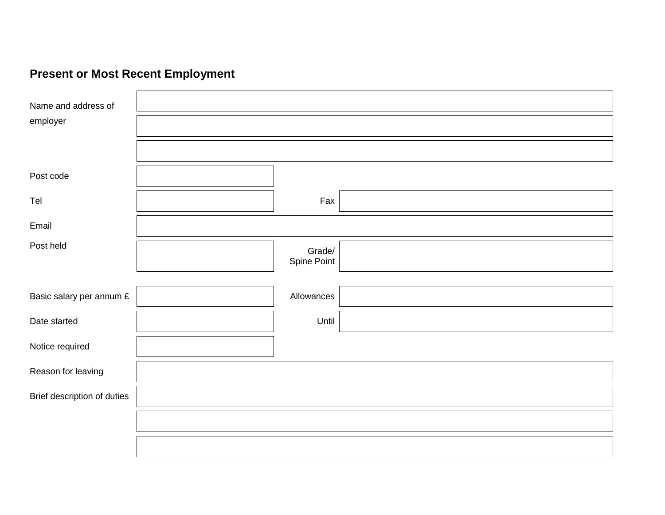# **Present or Most Recent Employment**

| Name and address of         |                       |  |  |
|-----------------------------|-----------------------|--|--|
| employer                    |                       |  |  |
|                             |                       |  |  |
| Post code                   |                       |  |  |
| Tel                         | Fax                   |  |  |
| Email                       |                       |  |  |
| Post held                   | Grade/<br>Spine Point |  |  |
| Basic salary per annum £    | Allowances            |  |  |
| Date started                | Until                 |  |  |
| Notice required             |                       |  |  |
| Reason for leaving          |                       |  |  |
| Brief description of duties |                       |  |  |
|                             |                       |  |  |
|                             |                       |  |  |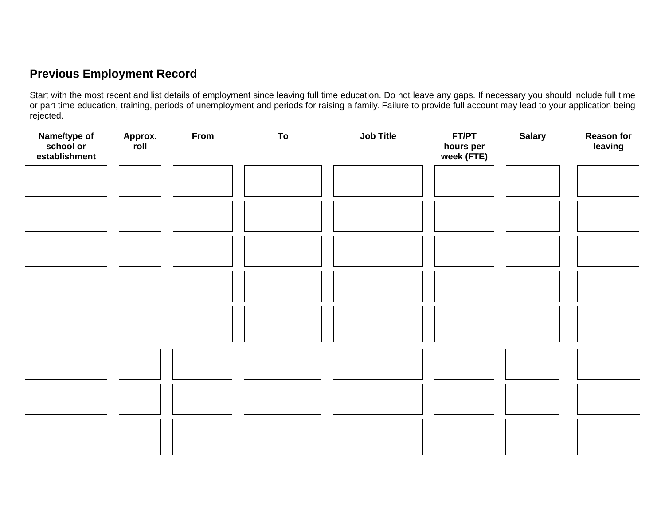## **Previous Employment Record**

Start with the most recent and list details of employment since leaving full time education. Do not leave any gaps. If necessary you should include full time or part time education, training, periods of unemployment and periods for raising a family. Failure to provide full account may lead to your application being rejected.

| Name/type of<br>school or<br>establishment | Approx.<br>roll | From | To | Job Title | FT/PT<br>hours per<br>week (FTE) | <b>Salary</b> | <b>Reason for</b><br>leaving |
|--------------------------------------------|-----------------|------|----|-----------|----------------------------------|---------------|------------------------------|
|                                            |                 |      |    |           |                                  |               |                              |
|                                            |                 |      |    |           |                                  |               |                              |
|                                            |                 |      |    |           |                                  |               |                              |
|                                            |                 |      |    |           |                                  |               |                              |
|                                            |                 |      |    |           |                                  |               |                              |
|                                            |                 |      |    |           |                                  |               |                              |
|                                            |                 |      |    |           |                                  |               |                              |
|                                            |                 |      |    |           |                                  |               |                              |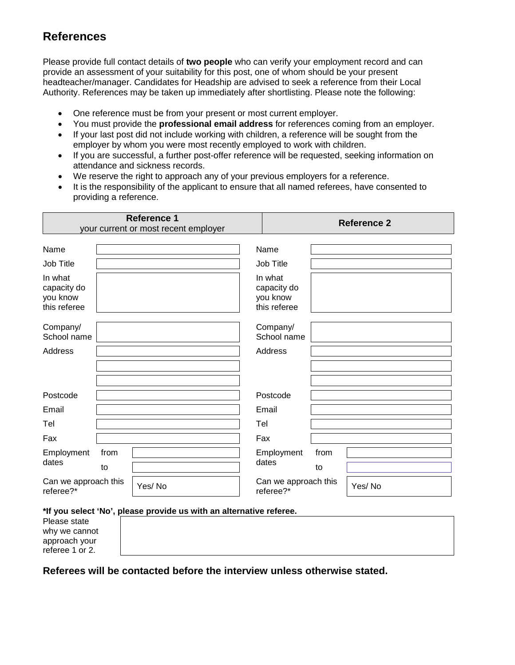## **References**

Please provide full contact details of **two people** who can verify your employment record and can provide an assessment of your suitability for this post, one of whom should be your present headteacher/manager. Candidates for Headship are advised to seek a reference from their Local Authority. References may be taken up immediately after shortlisting. Please note the following:

- One reference must be from your present or most current employer.
- You must provide the **professional email address** for references coming from an employer.
- If your last post did not include working with children, a reference will be sought from the employer by whom you were most recently employed to work with children.
- If you are successful, a further post-offer reference will be requested, seeking information on attendance and sickness records.
- We reserve the right to approach any of your previous employers for a reference.
- It is the responsibility of the applicant to ensure that all named referees, have consented to providing a reference.

|                                                    |      | <b>Reference 1</b><br>your current or most recent employer |                                                    |      | <b>Reference 2</b> |
|----------------------------------------------------|------|------------------------------------------------------------|----------------------------------------------------|------|--------------------|
| Name                                               |      |                                                            | Name                                               |      |                    |
| Job Title                                          |      |                                                            | Job Title                                          |      |                    |
| In what<br>capacity do<br>you know<br>this referee |      |                                                            | In what<br>capacity do<br>you know<br>this referee |      |                    |
| Company/<br>School name                            |      |                                                            | Company/<br>School name                            |      |                    |
| Address                                            |      |                                                            | Address                                            |      |                    |
|                                                    |      |                                                            |                                                    |      |                    |
|                                                    |      |                                                            |                                                    |      |                    |
| Postcode                                           |      |                                                            | Postcode                                           |      |                    |
| Email                                              |      |                                                            | Email                                              |      |                    |
| Tel                                                |      |                                                            | Tel                                                |      |                    |
| Fax                                                |      |                                                            | Fax                                                |      |                    |
| Employment                                         | from |                                                            | Employment                                         | from |                    |
| dates                                              | to   |                                                            | dates                                              | to   |                    |
| Can we approach this<br>referee?*                  |      | Yes/No                                                     | Can we approach this<br>referee?*                  |      | Yes/No             |

\*If you select 'I

Please state why we cannot approach your referee 1 or 2.

| No', please provide us with an alternative referee. |
|-----------------------------------------------------|
|                                                     |
|                                                     |
|                                                     |
|                                                     |

**Referees will be contacted before the interview unless otherwise stated.**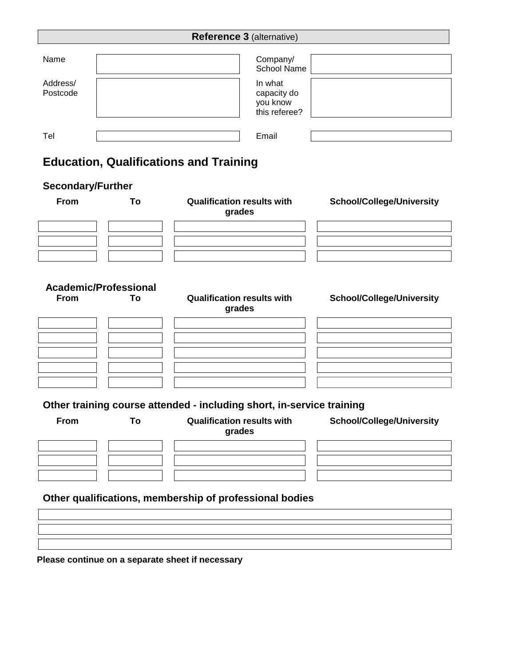| <b>Reference 3 (alternative)</b> |  |                                                     |  |
|----------------------------------|--|-----------------------------------------------------|--|
| Name                             |  | Company/<br><b>School Name</b>                      |  |
| Address/<br>Postcode             |  | In what<br>capacity do<br>you know<br>this referee? |  |
| Tel                              |  | Email                                               |  |

## **Education, Qualifications and Training**

### **Secondary/Further**

| <b>From</b> | To                           | <b>Qualification results with</b><br>grades                           | <b>School/College/University</b> |
|-------------|------------------------------|-----------------------------------------------------------------------|----------------------------------|
|             |                              |                                                                       |                                  |
|             | <b>Academic/Professional</b> |                                                                       |                                  |
| <b>From</b> | To                           | <b>Qualification results with</b><br>grades                           | <b>School/College/University</b> |
|             |                              |                                                                       |                                  |
|             |                              |                                                                       |                                  |
|             |                              |                                                                       |                                  |
|             |                              |                                                                       |                                  |
|             |                              |                                                                       |                                  |
|             |                              | Other training course attended - including short, in-service training |                                  |
| <b>From</b> | To                           | <b>Qualification results with</b><br>grades                           | <b>School/College/University</b> |
|             |                              |                                                                       |                                  |
|             |                              |                                                                       |                                  |
|             |                              |                                                                       |                                  |

**Other qualifications, membership of professional bodies**

**Please continue on a separate sheet if necessary**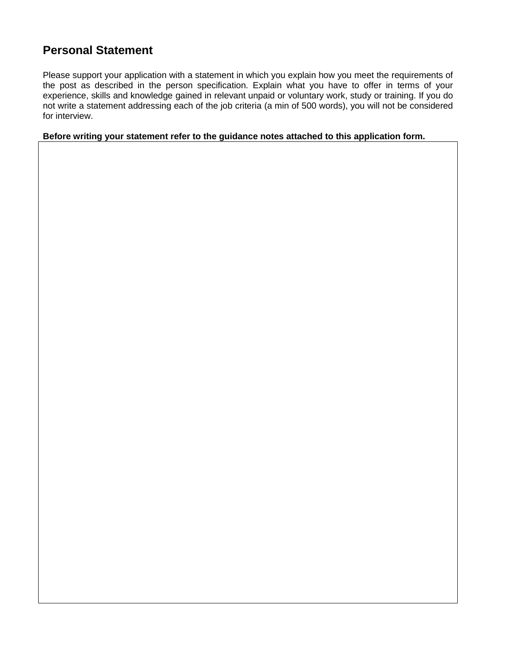## **Personal Statement**

Please support your application with a statement in which you explain how you meet the requirements of the post as described in the person specification. Explain what you have to offer in terms of your experience, skills and knowledge gained in relevant unpaid or voluntary work, study or training. If you do not write a statement addressing each of the job criteria (a min of 500 words), you will not be considered for interview.

**Before writing your statement refer to the guidance notes attached to this application form.**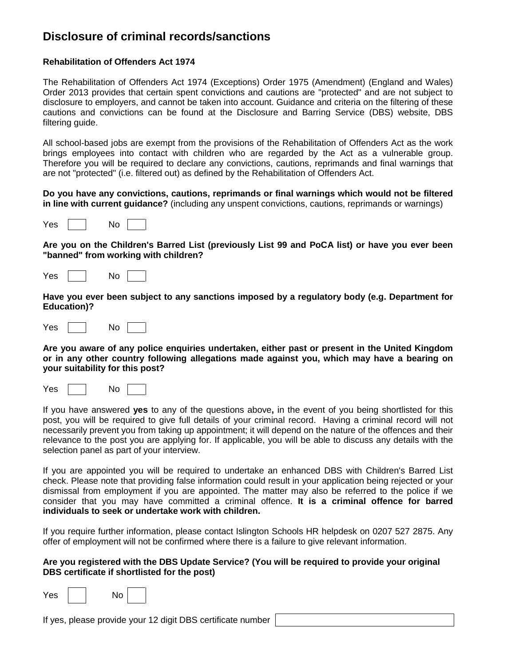### **Disclosure of criminal records/sanctions**

### **Rehabilitation of Offenders Act 1974**

The Rehabilitation of Offenders Act 1974 (Exceptions) Order 1975 (Amendment) (England and Wales) Order 2013 provides that certain spent convictions and cautions are "protected" and are not subject to disclosure to employers, and cannot be taken into account. Guidance and criteria on the filtering of these cautions and convictions can be found at the Disclosure and Barring Service (DBS) website, DBS filtering guide.

All school-based jobs are exempt from the provisions of the Rehabilitation of Offenders Act as the work brings employees into contact with children who are regarded by the Act as a vulnerable group. Therefore you will be required to declare any convictions, cautions, reprimands and final warnings that are not "protected" (i.e. filtered out) as defined by the Rehabilitation of Offenders Act.

#### **Do you have any convictions, cautions, reprimands or final warnings which would not be filtered in line with current guidance?** (including any unspent convictions, cautions, reprimands or warnings)

| <b>Yes</b><br>N٥ |  |
|------------------|--|
|------------------|--|

**Are you on the Children's Barred List (previously List 99 and PoCA list) or have you ever been "banned" from working with children?** 

| Yes |  | No |  |  |
|-----|--|----|--|--|
|-----|--|----|--|--|

**Have you ever been subject to any sanctions imposed by a regulatory body (e.g. Department for Education)?**

| $V_{\mathsf{es}}$ | Nο |  |  |
|-------------------|----|--|--|
|-------------------|----|--|--|

**Are you aware of any police enquiries undertaken, either past or present in the United Kingdom or in any other country following allegations made against you, which may have a bearing on your suitability for this post?**

Yes No

If you have answered **yes** to any of the questions above**,** in the event of you being shortlisted for this post, you will be required to give full details of your criminal record. Having a criminal record will not necessarily prevent you from taking up appointment; it will depend on the nature of the offences and their relevance to the post you are applying for. If applicable, you will be able to discuss any details with the selection panel as part of your interview.

If you are appointed you will be required to undertake an enhanced DBS with Children's Barred List check. Please note that providing false information could result in your application being rejected or your dismissal from employment if you are appointed. The matter may also be referred to the police if we consider that you may have committed a criminal offence. **It is a criminal offence for barred individuals to seek or undertake work with children.**

If you require further information, please contact Islington Schools HR helpdesk on 0207 527 2875. Any offer of employment will not be confirmed where there is a failure to give relevant information.

### **Are you registered with the DBS Update Service? (You will be required to provide your original DBS certificate if shortlisted for the post)**

| Yes. | N٥ |  |
|------|----|--|
|------|----|--|

If yes, please provide your 12 digit DBS certificate number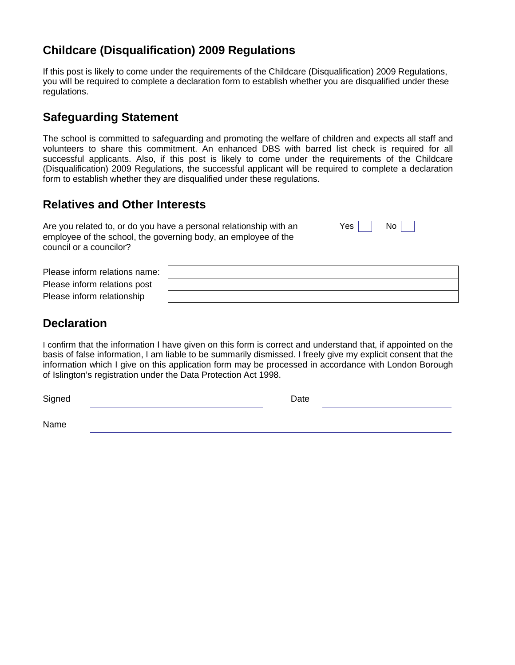## **Childcare (Disqualification) 2009 Regulations**

If this post is likely to come under the requirements of the Childcare (Disqualification) 2009 Regulations, you will be required to complete a declaration form to establish whether you are disqualified under these regulations.

### **Safeguarding Statement**

The school is committed to safeguarding and promoting the welfare of children and expects all staff and volunteers to share this commitment. An enhanced DBS with barred list check is required for all successful applicants. Also, if this post is likely to come under the requirements of the Childcare (Disqualification) 2009 Regulations, the successful applicant will be required to complete a declaration form to establish whether they are disqualified under these regulations.

## **Relatives and Other Interests**

Are you related to, or do you have a personal relationship with an  $Yes \Box$  No  $\Box$ employee of the school, the governing body, an employee of the council or a councilor?

| Please inform relations name: |  |
|-------------------------------|--|
| Please inform relations post  |  |
| Please inform relationship    |  |

### **Declaration**

I confirm that the information I have given on this form is correct and understand that, if appointed on the basis of false information, I am liable to be summarily dismissed. I freely give my explicit consent that the information which I give on this application form may be processed in accordance with London Borough of Islington's registration under the Data Protection Act 1998.

| Signed | Date |  |
|--------|------|--|
| Name   |      |  |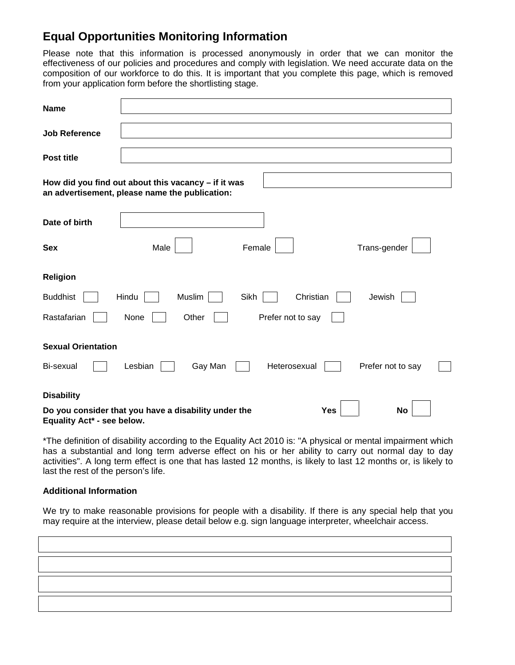### **Equal Opportunities Monitoring Information**

Please note that this information is processed anonymously in order that we can monitor the effectiveness of our policies and procedures and comply with legislation. We need accurate data on the composition of our workforce to do this. It is important that you complete this page, which is removed from your application form before the shortlisting stage.

| <b>Name</b>                |                                                                                                         |                   |                         |
|----------------------------|---------------------------------------------------------------------------------------------------------|-------------------|-------------------------|
| <b>Job Reference</b>       |                                                                                                         |                   |                         |
| Post title                 |                                                                                                         |                   |                         |
|                            | How did you find out about this vacancy $-$ if it was<br>an advertisement, please name the publication: |                   |                         |
| Date of birth              |                                                                                                         |                   |                         |
| <b>Sex</b>                 | Male                                                                                                    | Female            | Trans-gender            |
| <b>Religion</b>            |                                                                                                         |                   |                         |
| <b>Buddhist</b>            | Hindu<br>Muslim                                                                                         | Sikh<br>Christian | Jewish                  |
| Rastafarian                | None<br>Other                                                                                           | Prefer not to say |                         |
| <b>Sexual Orientation</b>  |                                                                                                         |                   |                         |
| Bi-sexual                  | Lesbian<br>Gay Man                                                                                      | Heterosexual      | Prefer not to say       |
| <b>Disability</b>          |                                                                                                         |                   |                         |
| Equality Act* - see below. | Do you consider that you have a disability under the                                                    |                   | <b>Yes</b><br><b>No</b> |

\*The definition of disability according to the Equality Act 2010 is: "A physical or mental impairment which has a substantial and long term adverse effect on his or her ability to carry out normal day to day activities". A long term effect is one that has lasted 12 months, is likely to last 12 months or, is likely to last the rest of the person's life.

### **Additional Information**

We try to make reasonable provisions for people with a disability. If there is any special help that you may require at the interview, please detail below e.g. sign language interpreter, wheelchair access.

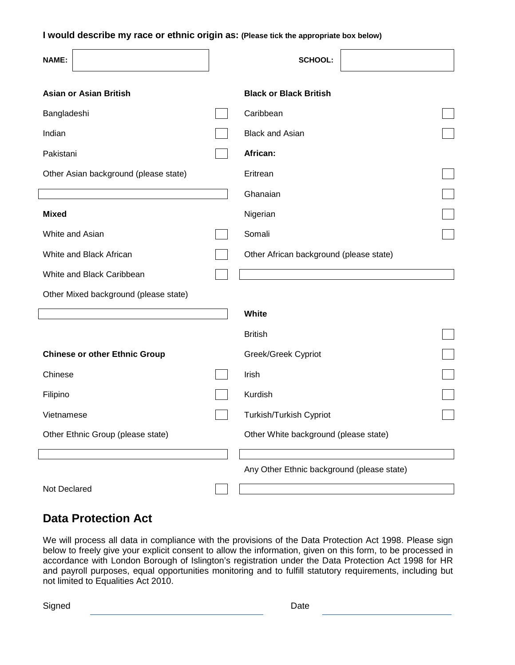**I would describe my race or ethnic origin as: (Please tick the appropriate box below)**

| <b>NAME:</b>                          | <b>SCHOOL:</b>                             |  |
|---------------------------------------|--------------------------------------------|--|
| <b>Asian or Asian British</b>         | <b>Black or Black British</b>              |  |
| Bangladeshi                           | Caribbean                                  |  |
| Indian                                | <b>Black and Asian</b>                     |  |
| Pakistani                             | African:                                   |  |
| Other Asian background (please state) | Eritrean                                   |  |
|                                       | Ghanaian                                   |  |
| <b>Mixed</b>                          | Nigerian                                   |  |
| White and Asian                       | Somali                                     |  |
| White and Black African               | Other African background (please state)    |  |
| White and Black Caribbean             |                                            |  |
| Other Mixed background (please state) |                                            |  |
|                                       | White                                      |  |
|                                       | <b>British</b>                             |  |
| <b>Chinese or other Ethnic Group</b>  | Greek/Greek Cypriot                        |  |
| Chinese                               | Irish                                      |  |
| Filipino                              | Kurdish                                    |  |
| Vietnamese                            | Turkish/Turkish Cypriot                    |  |
| Other Ethnic Group (please state)     | Other White background (please state)      |  |
|                                       |                                            |  |
|                                       | Any Other Ethnic background (please state) |  |
| Not Declared                          |                                            |  |

### **Data Protection Act**

We will process all data in compliance with the provisions of the Data Protection Act 1998. Please sign below to freely give your explicit consent to allow the information, given on this form, to be processed in accordance with London Borough of Islington's registration under the Data Protection Act 1998 for HR and payroll purposes, equal opportunities monitoring and to fulfill statutory requirements, including but not limited to Equalities Act 2010.

Signed **Date**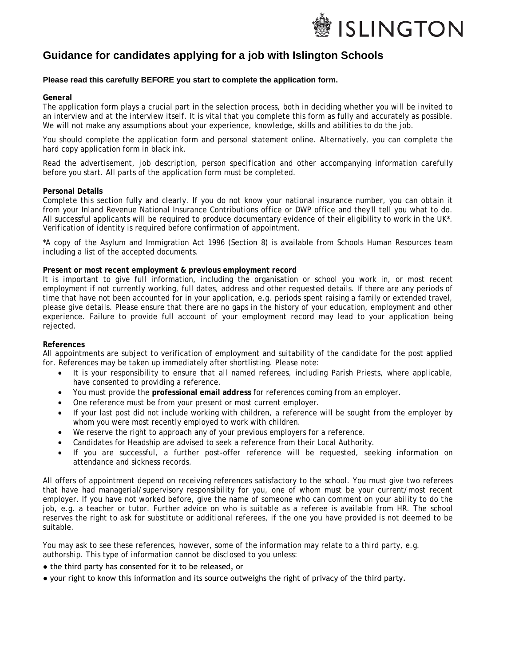

### **Guidance for candidates applying for a job with Islington Schools**

#### **Please read this carefully BEFORE you start to complete the application form.**

#### **General**

The application form plays a crucial part in the selection process, both in deciding whether you will be invited to an interview and at the interview itself. It is vital that you complete this form as fully and accurately as possible. We will not make any assumptions about your experience, knowledge, skills and abilities to do the job.

You should complete the application form and personal statement online. Alternatively, you can complete the hard copy application form in black ink.

Read the advertisement, job description, person specification and other accompanying information carefully before you start. All parts of the application form must be completed.

#### **Personal Details**

Complete this section fully and clearly. If you do not know your national insurance number, you can obtain it from your Inland Revenue National Insurance Contributions office or DWP office and they'll tell you what to do. All successful applicants will be required to produce documentary evidence of their eligibility to work in the UK\*. Verification of identity is required before confirmation of appointment.

\*A copy of the Asylum and Immigration Act 1996 (Section 8) is available from Schools Human Resources team including a list of the accepted documents.

#### **Present or most recent employment & previous employment record**

It is important to give full information, including the organisation or school you work in, or most recent employment if not currently working, full dates, address and other requested details. If there are any periods of time that have not been accounted for in your application, e.g. periods spent raising a family or extended travel, please give details. Please ensure that there are no gaps in the history of your education, employment and other experience. Failure to provide full account of your employment record may lead to your application being rejected.

#### **References**

All appointments are subject to verification of employment and suitability of the candidate for the post applied for. References may be taken up immediately after shortlisting. Please note:

- It is your responsibility to ensure that all named referees, including Parish Priests, where applicable, have consented to providing a reference.
- You must provide the **professional email address** for references coming from an employer.
- One reference must be from your present or most current employer.
- If your last post did not include working with children, a reference will be sought from the employer by whom you were most recently employed to work with children.
- We reserve the right to approach any of your previous employers for a reference.
- Candidates for Headship are advised to seek a reference from their Local Authority.
- If you are successful, a further post-offer reference will be requested, seeking information on attendance and sickness records.

All offers of appointment depend on receiving references satisfactory to the school. You must give two referees that have had managerial/supervisory responsibility for you, one of whom must be your current/most recent employer. If you have not worked before, give the name of someone who can comment on your ability to do the job, e.g. a teacher or tutor. Further advice on who is suitable as a referee is available from HR. The school reserves the right to ask for substitute or additional referees, if the one you have provided is not deemed to be suitable.

You may ask to see these references, however, some of the information may relate to a third party, e.g. authorship. This type of information cannot be disclosed to you unless:

- the third party has consented for it to be released, or
- your right to know this information and its source outweighs the right of privacy of the third party.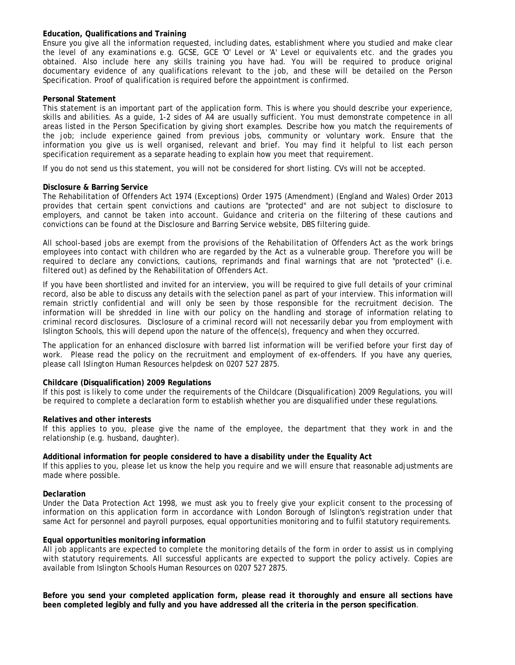#### **Education, Qualifications and Training**

Ensure you give all the information requested, including dates, establishment where you studied and make clear the level of any examinations e.g. GCSE, GCE 'O' Level or 'A' Level or equivalents etc. and the grades you obtained. Also include here any skills training you have had. You will be required to produce original documentary evidence of any qualifications relevant to the job, and these will be detailed on the Person Specification. Proof of qualification is required before the appointment is confirmed.

#### **Personal Statement**

This statement is an important part of the application form. This is where you should describe your experience, skills and abilities. As a guide, 1-2 sides of A4 are usually sufficient. You must demonstrate competence in all areas listed in the Person Specification by giving short examples. Describe how you match the requirements of the job; include experience gained from previous jobs, community or voluntary work. Ensure that the information you give us is well organised, relevant and brief. You may find it helpful to list each person specification requirement as a separate heading to explain how you meet that requirement.

If you do not send us this statement, you will not be considered for short listing. CVs will not be accepted.

#### **Disclosure & Barring Service**

The Rehabilitation of Offenders Act 1974 (Exceptions) Order 1975 (Amendment) (England and Wales) Order 2013 provides that certain spent convictions and cautions are "protected" and are not subject to disclosure to employers, and cannot be taken into account. Guidance and criteria on the filtering of these cautions and convictions can be found at the Disclosure and Barring Service website, DBS filtering guide.

All school-based jobs are exempt from the provisions of the Rehabilitation of Offenders Act as the work brings employees into contact with children who are regarded by the Act as a vulnerable group. Therefore you will be required to declare any convictions, cautions, reprimands and final warnings that are not "protected" (i.e. filtered out) as defined by the Rehabilitation of Offenders Act.

If you have been shortlisted and invited for an interview, you will be required to give full details of your criminal record, also be able to discuss any details with the selection panel as part of your interview. This information will remain strictly confidential and will only be seen by those responsible for the recruitment decision. The information will be shredded in line with our policy on the handling and storage of information relating to criminal record disclosures. Disclosure of a criminal record will not necessarily debar you from employment with Islington Schools, this will depend upon the nature of the offence(s), frequency and when they occurred.

The application for an enhanced disclosure with barred list information will be verified before your first day of work. Please read the policy on the recruitment and employment of ex-offenders. If you have any queries, please call Islington Human Resources helpdesk on 0207 527 2875.

#### **Childcare (Disqualification) 2009 Regulations**

If this post is likely to come under the requirements of the Childcare (Disqualification) 2009 Regulations, you will be required to complete a declaration form to establish whether you are disqualified under these regulations.

#### **Relatives and other interests**

If this applies to you, please give the name of the employee, the department that they work in and the relationship (e.g. husband, daughter).

#### **Additional information for people considered to have a disability under the Equality Act**

If this applies to you, please let us know the help you require and we will ensure that reasonable adjustments are made where possible.

#### **Declaration**

Under the Data Protection Act 1998, we must ask you to freely give your explicit consent to the processing of information on this application form in accordance with London Borough of Islington's registration under that same Act for personnel and payroll purposes, equal opportunities monitoring and to fulfil statutory requirements.

#### **Equal opportunities monitoring information**

All job applicants are expected to complete the monitoring details of the form in order to assist us in complying with statutory requirements. All successful applicants are expected to support the policy actively. Copies are available from Islington Schools Human Resources on 0207 527 2875.

**Before you send your completed application form, please read it thoroughly and ensure all sections have been completed legibly and fully and you have addressed all the criteria in the person specification**.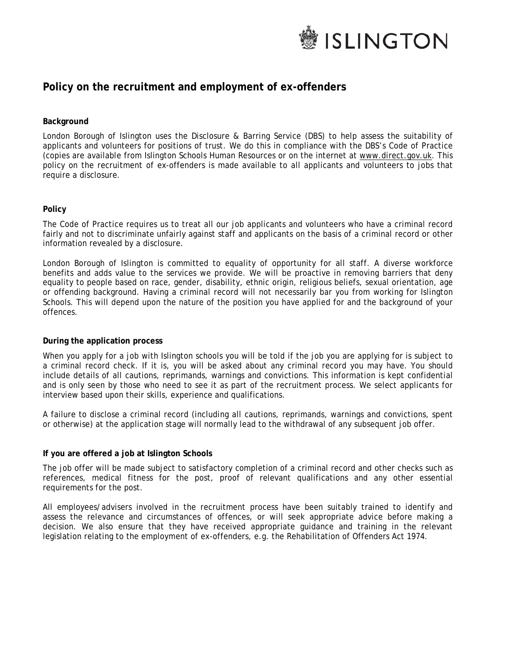

### **Policy on the recruitment and employment of ex-offenders**

#### **Background**

London Borough of Islington uses the Disclosure & Barring Service (DBS) to help assess the suitability of applicants and volunteers for positions of trust. We do this in compliance with the DBS's Code of Practice (copies are available from Islington Schools Human Resources or on the internet at [www.direct.gov.uk.](http://www.direct.gov.uk/) This policy on the recruitment of ex-offenders is made available to all applicants and volunteers to jobs that require a disclosure.

#### **Policy**

The Code of Practice requires us to treat all our job applicants and volunteers who have a criminal record fairly and not to discriminate unfairly against staff and applicants on the basis of a criminal record or other information revealed by a disclosure.

London Borough of Islington is committed to equality of opportunity for all staff. A diverse workforce benefits and adds value to the services we provide. We will be proactive in removing barriers that deny equality to people based on race, gender, disability, ethnic origin, religious beliefs, sexual orientation, age or offending background. Having a criminal record will not necessarily bar you from working for Islington Schools. This will depend upon the nature of the position you have applied for and the background of your offences.

#### **During the application process**

When you apply for a job with Islington schools you will be told if the job you are applying for is subject to a criminal record check. If it is, you will be asked about any criminal record you may have. You should include details of all cautions, reprimands, warnings and convictions. This information is kept confidential and is only seen by those who need to see it as part of the recruitment process. We select applicants for interview based upon their skills, experience and qualifications.

A failure to disclose a criminal record (including all cautions, reprimands, warnings and convictions, spent or otherwise) at the application stage will normally lead to the withdrawal of any subsequent job offer.

#### **If you are offered a job at Islington Schools**

The job offer will be made subject to satisfactory completion of a criminal record and other checks such as references, medical fitness for the post, proof of relevant qualifications and any other essential requirements for the post.

All employees/advisers involved in the recruitment process have been suitably trained to identify and assess the relevance and circumstances of offences, or will seek appropriate advice before making a decision. We also ensure that they have received appropriate guidance and training in the relevant legislation relating to the employment of ex-offenders, e.g. the Rehabilitation of Offenders Act 1974.